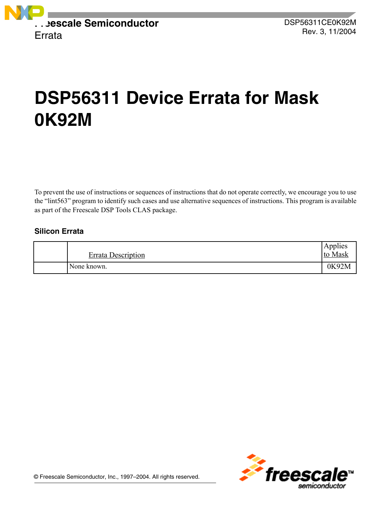

# **DSP56311 Device Errata for Mask 0K92M**

To prevent the use of instructions or sequences of instructions that do not operate correctly, we encourage you to use the "lint563" program to identify such cases and use alternative sequences of instructions. This program is available as part of the Freescale DSP Tools CLAS package.

# **Silicon Errata**

| <b>Errata Description</b> | Applies<br>to Mask |
|---------------------------|--------------------|
| None known.               | 0K92M              |

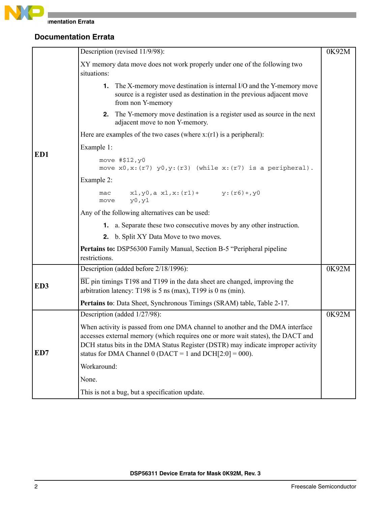

|     | Description (revised 11/9/98):                                                                                                                                                                                                                                                                                      | 0K92M |
|-----|---------------------------------------------------------------------------------------------------------------------------------------------------------------------------------------------------------------------------------------------------------------------------------------------------------------------|-------|
|     | XY memory data move does not work properly under one of the following two<br>situations:                                                                                                                                                                                                                            |       |
|     | <b>1.</b> The X-memory move destination is internal I/O and the Y-memory move<br>source is a register used as destination in the previous adjacent move<br>from non Y-memory                                                                                                                                        |       |
|     | 2. The Y-memory move destination is a register used as source in the next<br>adjacent move to non Y-memory.                                                                                                                                                                                                         |       |
|     | Here are examples of the two cases (where $x:(r1)$ is a peripheral):                                                                                                                                                                                                                                                |       |
|     | Example 1:                                                                                                                                                                                                                                                                                                          |       |
| ED1 | move #\$12, y0<br>move $x0, x: (r7)$ $y0, y: (r3)$ (while $x: (r7)$ is a peripheral).                                                                                                                                                                                                                               |       |
|     | Example 2:                                                                                                                                                                                                                                                                                                          |       |
|     | $x1, y0, a x1, x: (r1) + y: (r6) + y0$<br>mac<br>y0, y1<br>move                                                                                                                                                                                                                                                     |       |
|     | Any of the following alternatives can be used:                                                                                                                                                                                                                                                                      |       |
|     | <b>1.</b> a. Separate these two consecutive moves by any other instruction.                                                                                                                                                                                                                                         |       |
|     | 2. b. Split XY Data Move to two moves.                                                                                                                                                                                                                                                                              |       |
|     | Pertains to: DSP56300 Family Manual, Section B-5 "Peripheral pipeline<br>restrictions.                                                                                                                                                                                                                              |       |
|     | Description (added before 2/18/1996):                                                                                                                                                                                                                                                                               | 0K92M |
| ED3 | BL pin timings T198 and T199 in the data sheet are changed, improving the<br>arbitration latency: T198 is $5$ ns (max), T199 is 0 ns (min).                                                                                                                                                                         |       |
|     | Pertains to: Data Sheet, Synchronous Timings (SRAM) table, Table 2-17.                                                                                                                                                                                                                                              |       |
|     | Description (added 1/27/98):                                                                                                                                                                                                                                                                                        | 0K92M |
| ED7 | When activity is passed from one DMA channel to another and the DMA interface<br>accesses external memory (which requires one or more wait states), the DACT and<br>DCH status bits in the DMA Status Register (DSTR) may indicate improper activity<br>status for DMA Channel 0 (DACT = 1 and DCH $[2:0] = 000$ ). |       |
|     | Workaround:                                                                                                                                                                                                                                                                                                         |       |
|     | None.                                                                                                                                                                                                                                                                                                               |       |
|     | This is not a bug, but a specification update.                                                                                                                                                                                                                                                                      |       |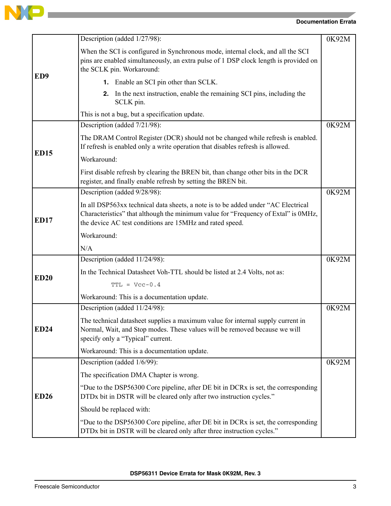

Ï

|                 | Description (added 1/27/98):                                                                                                                                                                                                        | 0K92M |
|-----------------|-------------------------------------------------------------------------------------------------------------------------------------------------------------------------------------------------------------------------------------|-------|
|                 | When the SCI is configured in Synchronous mode, internal clock, and all the SCI<br>pins are enabled simultaneously, an extra pulse of 1 DSP clock length is provided on<br>the SCLK pin. Workaround:                                |       |
| ED <sub>9</sub> | <b>1.</b> Enable an SCI pin other than SCLK.                                                                                                                                                                                        |       |
|                 | <b>2.</b> In the next instruction, enable the remaining SCI pins, including the<br>SCLK pin.                                                                                                                                        |       |
|                 | This is not a bug, but a specification update.                                                                                                                                                                                      |       |
|                 | Description (added 7/21/98):                                                                                                                                                                                                        | 0K92M |
| <b>ED15</b>     | The DRAM Control Register (DCR) should not be changed while refresh is enabled.<br>If refresh is enabled only a write operation that disables refresh is allowed.                                                                   |       |
|                 | Workaround:                                                                                                                                                                                                                         |       |
|                 | First disable refresh by clearing the BREN bit, than change other bits in the DCR<br>register, and finally enable refresh by setting the BREN bit.                                                                                  |       |
|                 | Description (added 9/28/98):                                                                                                                                                                                                        | 0K92M |
| <b>ED17</b>     | In all DSP563xx technical data sheets, a note is to be added under "AC Electrical<br>Characteristics" that although the minimum value for "Frequency of Extal" is 0MHz,<br>the device AC test conditions are 15MHz and rated speed. |       |
|                 | Workaround:                                                                                                                                                                                                                         |       |
|                 | N/A                                                                                                                                                                                                                                 |       |
|                 | Description (added 11/24/98):                                                                                                                                                                                                       | 0K92M |
| <b>ED20</b>     | In the Technical Datasheet Voh-TTL should be listed at 2.4 Volts, not as:                                                                                                                                                           |       |
|                 | $TTL = Vcc-0.4$                                                                                                                                                                                                                     |       |
|                 | Workaround: This is a documentation update.                                                                                                                                                                                         |       |
|                 | Description (added 11/24/98):                                                                                                                                                                                                       | 0K92M |
| <b>ED24</b>     | The technical datasheet supplies a maximum value for internal supply current in<br>Normal, Wait, and Stop modes. These values will be removed because we will<br>specify only a "Typical" current.                                  |       |
|                 | Workaround: This is a documentation update.                                                                                                                                                                                         |       |
|                 | Description (added 1/6/99):                                                                                                                                                                                                         | 0K92M |
|                 | The specification DMA Chapter is wrong.                                                                                                                                                                                             |       |
| <b>ED26</b>     | "Due to the DSP56300 Core pipeline, after DE bit in DCRx is set, the corresponding<br>DTDx bit in DSTR will be cleared only after two instruction cycles."                                                                          |       |
|                 | Should be replaced with:                                                                                                                                                                                                            |       |
|                 | "Due to the DSP56300 Core pipeline, after DE bit in DCRx is set, the corresponding<br>DTDx bit in DSTR will be cleared only after three instruction cycles."                                                                        |       |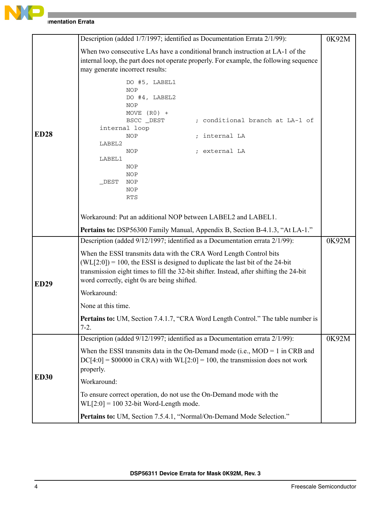

|             | Description (added 1/7/1997; identified as Documentation Errata 2/1/99):                                                                                                                                                                                                                         | 0K92M |
|-------------|--------------------------------------------------------------------------------------------------------------------------------------------------------------------------------------------------------------------------------------------------------------------------------------------------|-------|
|             | When two consecutive LAs have a conditional branch instruction at LA-1 of the<br>internal loop, the part does not operate properly. For example, the following sequence<br>may generate incorrect results:                                                                                       |       |
|             | DO #5, LABEL1<br><b>NOP</b><br>DO #4, LABEL2<br><b>NOP</b><br>MOVE $(R0)$ +<br>; conditional branch at LA-1 of<br>BSCC _DEST<br>internal loop                                                                                                                                                    |       |
| <b>ED28</b> | internal LA<br><b>NOP</b>                                                                                                                                                                                                                                                                        |       |
|             | LABEL2<br>; external LA<br>NOP<br>LABEL1<br>NOP<br>NOP<br>$_DEST$<br>NOP<br><b>NOP</b>                                                                                                                                                                                                           |       |
|             | <b>RTS</b><br>Workaround: Put an additional NOP between LABEL2 and LABEL1.                                                                                                                                                                                                                       |       |
|             | <b>Pertains to:</b> DSP56300 Family Manual, Appendix B, Section B-4.1.3, "At LA-1."                                                                                                                                                                                                              |       |
|             | Description (added 9/12/1997; identified as a Documentation errata 2/1/99):                                                                                                                                                                                                                      | 0K92M |
| <b>ED29</b> | When the ESSI transmits data with the CRA Word Length Control bits<br>$(WL[2:0]) = 100$ , the ESSI is designed to duplicate the last bit of the 24-bit<br>transmission eight times to fill the 32-bit shifter. Instead, after shifting the 24-bit<br>word correctly, eight 0s are being shifted. |       |
|             | Workaround:                                                                                                                                                                                                                                                                                      |       |
|             | None at this time.                                                                                                                                                                                                                                                                               |       |
|             | <b>Pertains to:</b> UM, Section 7.4.1.7, "CRA Word Length Control." The table number is<br>$7-2.$                                                                                                                                                                                                |       |
|             | Description (added 9/12/1997; identified as a Documentation errata 2/1/99):                                                                                                                                                                                                                      | 0K92M |
|             | When the ESSI transmits data in the On-Demand mode (i.e., $MOD = 1$ in CRB and<br>$DC[4:0] = $00000$ in CRA) with WL[2:0] = 100, the transmission does not work<br>properly.                                                                                                                     |       |
| <b>ED30</b> | Workaround:                                                                                                                                                                                                                                                                                      |       |
|             | To ensure correct operation, do not use the On-Demand mode with the<br>$WL[2:0] = 100$ 32-bit Word-Length mode.                                                                                                                                                                                  |       |
|             | Pertains to: UM, Section 7.5.4.1, "Normal/On-Demand Mode Selection."                                                                                                                                                                                                                             |       |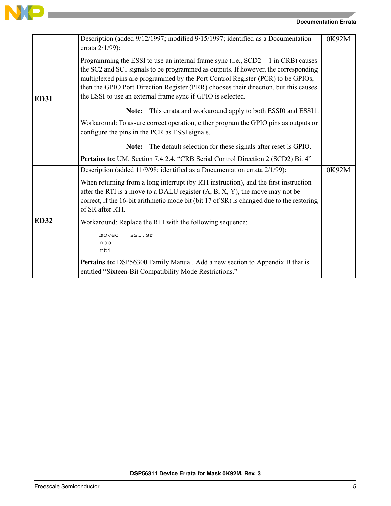

| <b>ED31</b> | Description (added 9/12/1997; modified 9/15/1997; identified as a Documentation<br>errata 2/1/99):                                                                                                                                                                                                                                                                                                                  | 0K92M |
|-------------|---------------------------------------------------------------------------------------------------------------------------------------------------------------------------------------------------------------------------------------------------------------------------------------------------------------------------------------------------------------------------------------------------------------------|-------|
|             | Programming the ESSI to use an internal frame sync (i.e., $SCD2 = 1$ in CRB) causes<br>the SC2 and SC1 signals to be programmed as outputs. If however, the corresponding<br>multiplexed pins are programmed by the Port Control Register (PCR) to be GPIOs,<br>then the GPIO Port Direction Register (PRR) chooses their direction, but this causes<br>the ESSI to use an external frame sync if GPIO is selected. |       |
|             | This errata and workaround apply to both ESSI0 and ESSI1.<br>Note:                                                                                                                                                                                                                                                                                                                                                  |       |
|             | Workaround: To assure correct operation, either program the GPIO pins as outputs or<br>configure the pins in the PCR as ESSI signals.                                                                                                                                                                                                                                                                               |       |
|             | The default selection for these signals after reset is GPIO.<br>Note:                                                                                                                                                                                                                                                                                                                                               |       |
|             | Pertains to: UM, Section 7.4.2.4, "CRB Serial Control Direction 2 (SCD2) Bit 4"                                                                                                                                                                                                                                                                                                                                     |       |
|             | Description (added 11/9/98; identified as a Documentation errata 2/1/99):                                                                                                                                                                                                                                                                                                                                           | 0K92M |
|             | When returning from a long interrupt (by RTI instruction), and the first instruction<br>after the RTI is a move to a DALU register $(A, B, X, Y)$ , the move may not be<br>correct, if the 16-bit arithmetic mode bit (bit 17 of SR) is changed due to the restoring<br>of SR after RTI.                                                                                                                            |       |
| <b>ED32</b> | Workaround: Replace the RTI with the following sequence:                                                                                                                                                                                                                                                                                                                                                            |       |
|             | ssl, sr<br>movec<br>nop<br>rti                                                                                                                                                                                                                                                                                                                                                                                      |       |
|             | Pertains to: DSP56300 Family Manual. Add a new section to Appendix B that is<br>entitled "Sixteen-Bit Compatibility Mode Restrictions."                                                                                                                                                                                                                                                                             |       |

and the control of the control of the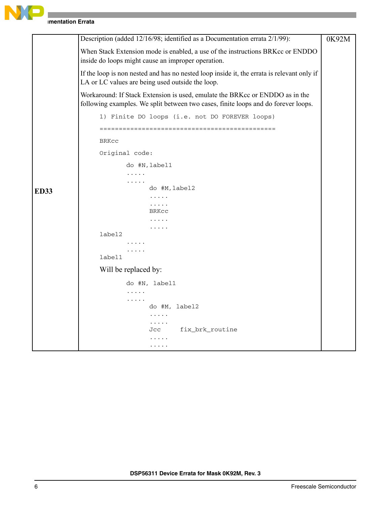

|             | Description (added 12/16/98; identified as a Documentation errata 2/1/99):                                                                                         | 0K92M |
|-------------|--------------------------------------------------------------------------------------------------------------------------------------------------------------------|-------|
|             | When Stack Extension mode is enabled, a use of the instructions BRKcc or ENDDO<br>inside do loops might cause an improper operation.                               |       |
|             | If the loop is non nested and has no nested loop inside it, the errata is relevant only if<br>LA or LC values are being used outside the loop.                     |       |
|             | Workaround: If Stack Extension is used, emulate the BRKcc or ENDDO as in the<br>following examples. We split between two cases, finite loops and do forever loops. |       |
|             | 1) Finite DO loops (i.e. not DO FOREVER loops)                                                                                                                     |       |
|             | <b>BRKCC</b>                                                                                                                                                       |       |
|             | Original code:                                                                                                                                                     |       |
|             | do #N,label1                                                                                                                                                       |       |
|             | .<br>.                                                                                                                                                             |       |
| <b>ED33</b> | do #M, label2                                                                                                                                                      |       |
|             | .                                                                                                                                                                  |       |
|             | .<br>BRKCC                                                                                                                                                         |       |
|             |                                                                                                                                                                    |       |
|             | label2                                                                                                                                                             |       |
|             |                                                                                                                                                                    |       |
|             | .                                                                                                                                                                  |       |
|             | label1                                                                                                                                                             |       |
|             | Will be replaced by:                                                                                                                                               |       |
|             | do #N, label1                                                                                                                                                      |       |
|             | .                                                                                                                                                                  |       |
|             | .<br>do #M, label2                                                                                                                                                 |       |
|             | .                                                                                                                                                                  |       |
|             | .<br>fix_brk_routine<br>Jcc                                                                                                                                        |       |
|             |                                                                                                                                                                    |       |
|             | .                                                                                                                                                                  |       |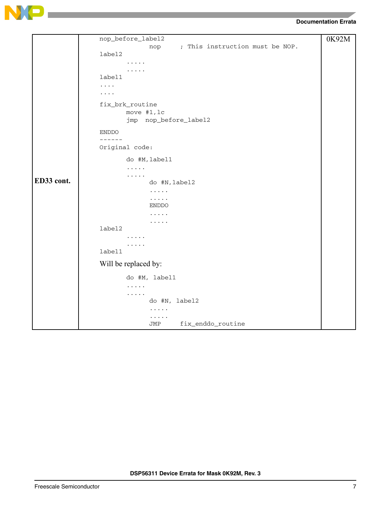

|            | nop_before_label2                      | 0K92M |
|------------|----------------------------------------|-------|
|            | ; This instruction must be NOP.<br>nop |       |
|            | label2                                 |       |
|            | .                                      |       |
|            |                                        |       |
|            | label1                                 |       |
|            | $\cdots$                               |       |
|            | .                                      |       |
|            | fix_brk_routine                        |       |
|            | move #1, lc                            |       |
|            | jmp nop_before_label2                  |       |
|            |                                        |       |
|            | <b>ENDDO</b>                           |       |
|            | ------                                 |       |
|            | Original code:                         |       |
|            | do #M, label1                          |       |
|            | .                                      |       |
|            | $\cdots$                               |       |
| ED33 cont. | do #N, label2                          |       |
|            | $\cdots$                               |       |
|            | $\cdots$                               |       |
|            | <b>ENDDO</b>                           |       |
|            | .                                      |       |
|            | .                                      |       |
|            | label2                                 |       |
|            | .                                      |       |
|            | .<br>label1                            |       |
|            |                                        |       |
|            | Will be replaced by:                   |       |
|            | do #M, label1                          |       |
|            | .                                      |       |
|            | $\cdots$                               |       |
|            | do #N, label2                          |       |
|            | .                                      |       |
|            | .                                      |       |
|            | fix_enddo_routine<br>JMP               |       |

**DSP56311 Device Errata for Mask 0K92M, Rev. 3**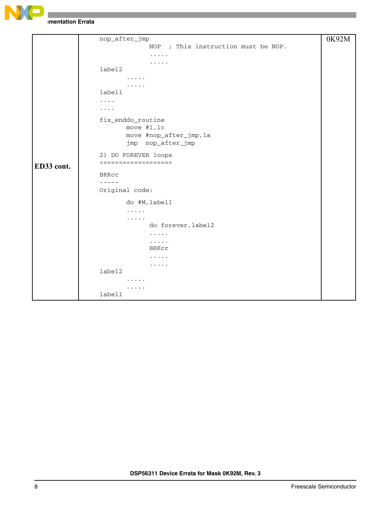

```
ED33 cont.
     nop_after_jmp
                   NOP ; This instruction must be NOP.
                   .....
                   .....
     label2
            .....
            .....
     label1
     ....
     ....
     fix_enddo_routine
            move #1,lc
            move #nop_after_jmp,la
            jmp nop_after_jmp
     2) DO FOREVER loops
     ===================
     BRKcc
     -----
     Original code:
            do #M,label1
             .....
             .....
                   do forever,label2
                   .....
                   .....
                   BRKcc
                   .....
                   .....
     label2
             .....
             .....
     label1
                                                                   0K92M
```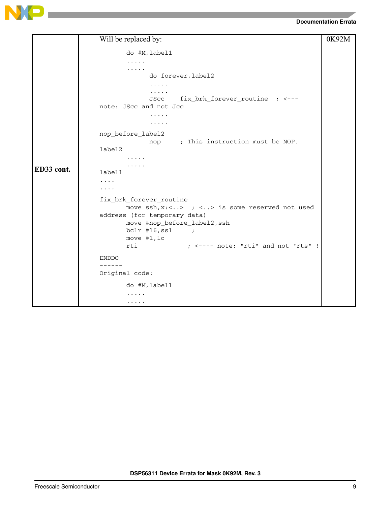



|            | Will be replaced by:                                            | 0K92M |
|------------|-----------------------------------------------------------------|-------|
|            | do #M, label1                                                   |       |
|            | .                                                               |       |
|            | .                                                               |       |
|            | do forever, label2                                              |       |
|            | $\cdots$                                                        |       |
|            | .                                                               |       |
|            | fix_brk_forever_routine ; <---<br>JScc                          |       |
|            | note: JScc and not Jcc                                          |       |
|            | .                                                               |       |
|            | .                                                               |       |
|            | nop_before_label2                                               |       |
|            | nop ; This instruction must be NOP.                             |       |
|            | label2                                                          |       |
|            | .                                                               |       |
|            |                                                                 |       |
| ED33 cont. | label1                                                          |       |
|            | .                                                               |       |
|            | .                                                               |       |
|            | fix_brk_forever_routine                                         |       |
|            | move $\operatorname{ssh}$ , x:<> ; <> is some reserved not used |       |
|            | address (for temporary data)                                    |       |
|            | move #nop_before_label2, ssh                                    |       |
|            | $bc1r$ #16, ssl<br>$\sim$ $\sim$ $\sim$ $\sim$ $\sim$ $\sim$    |       |
|            | move #1, lc                                                     |       |
|            | $;$ <---- note: "rti" and not "rts" !<br>rti                    |       |
|            | <b>ENDDO</b>                                                    |       |
|            | ------                                                          |       |
|            | Original code:                                                  |       |
|            | do #M, label1                                                   |       |
|            |                                                                 |       |
|            | .                                                               |       |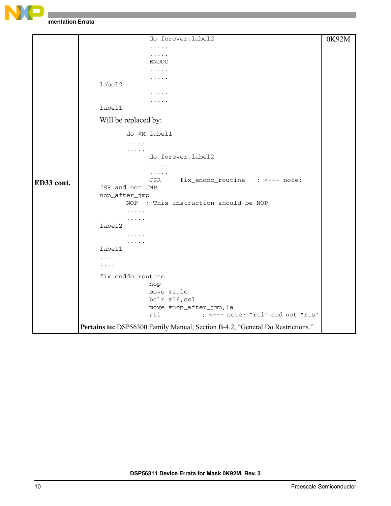

```
ED33 cont.
                   do forever,label2
                   .....
                    .....
                   ENDDO
                   .....
                   .....
      label2
                   .....
                    .....
      label1
      Will be replaced by:
             do #M,label1
             .....
             .....
                   do forever,label2
                   .....
                   .....
                   JSR fix_enddo_routine ; <--- note: 
     JSR and not JMP
     nop_after_jmp
             NOP ; This instruction should be NOP
             .....
             .....
      label2
             .....
             .....
      label1
      ....
      ....
      fix_enddo_routine
                   nop
                   move #1,lc
                   bclr #16,ssl
                   move #nop_after_jmp,la
                   rti ; <--- note: "rti" and not "rts"
Pertains to: DSP56300 Family Manual, Section B-4.2, "General Do Restrictions."
                                                                    0K92M
```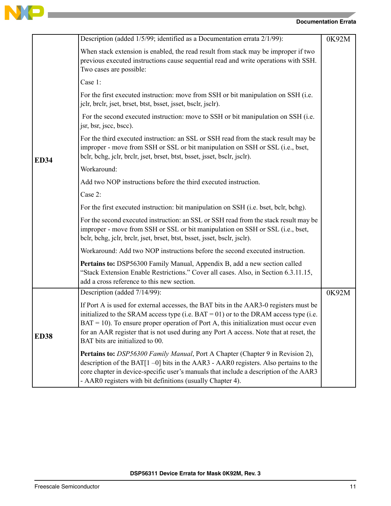

|             | Description (added 1/5/99; identified as a Documentation errata 2/1/99):                                                                                                                                                                                                                                                                                                                                 | 0K92M |
|-------------|----------------------------------------------------------------------------------------------------------------------------------------------------------------------------------------------------------------------------------------------------------------------------------------------------------------------------------------------------------------------------------------------------------|-------|
|             | When stack extension is enabled, the read result from stack may be improper if two<br>previous executed instructions cause sequential read and write operations with SSH.<br>Two cases are possible:                                                                                                                                                                                                     |       |
|             | Case 1:                                                                                                                                                                                                                                                                                                                                                                                                  |       |
|             | For the first executed instruction: move from SSH or bit manipulation on SSH (i.e.<br>jelr, brelr, jset, brset, btst, bsset, jsset, bselr, jselr).                                                                                                                                                                                                                                                       |       |
|             | For the second executed instruction: move to SSH or bit manipulation on SSH (i.e.<br>jsr, bsr, jscc, bscc).                                                                                                                                                                                                                                                                                              |       |
| <b>ED34</b> | For the third executed instruction: an SSL or SSH read from the stack result may be<br>improper - move from SSH or SSL or bit manipulation on SSH or SSL (i.e., bset,<br>belr, behg, jelr, brelr, jset, brset, btst, bsset, jsset, bselr, jselr).                                                                                                                                                        |       |
|             | Workaround:                                                                                                                                                                                                                                                                                                                                                                                              |       |
|             | Add two NOP instructions before the third executed instruction.                                                                                                                                                                                                                                                                                                                                          |       |
|             | Case 2:                                                                                                                                                                                                                                                                                                                                                                                                  |       |
|             | For the first executed instruction: bit manipulation on SSH (i.e. bset, bclr, bchg).                                                                                                                                                                                                                                                                                                                     |       |
|             | For the second executed instruction: an SSL or SSH read from the stack result may be<br>improper - move from SSH or SSL or bit manipulation on SSH or SSL (i.e., bset,<br>belr, behg, jelr, brelr, jset, brset, btst, bsset, jsset, bselr, jselr).                                                                                                                                                       |       |
|             | Workaround: Add two NOP instructions before the second executed instruction.                                                                                                                                                                                                                                                                                                                             |       |
|             | Pertains to: DSP56300 Family Manual, Appendix B, add a new section called<br>"Stack Extension Enable Restrictions." Cover all cases. Also, in Section 6.3.11.15,<br>add a cross reference to this new section.                                                                                                                                                                                           |       |
|             | Description (added 7/14/99):                                                                                                                                                                                                                                                                                                                                                                             | 0K92M |
| <b>ED38</b> | If Port A is used for external accesses, the BAT bits in the AAR3-0 registers must be<br>initialized to the SRAM access type (i.e. $BAT = 01$ ) or to the DRAM access type (i.e.<br>$BAT = 10$ ). To ensure proper operation of Port A, this initialization must occur even<br>for an AAR register that is not used during any Port A access. Note that at reset, the<br>BAT bits are initialized to 00. |       |
|             | Pertains to: DSP56300 Family Manual, Port A Chapter (Chapter 9 in Revision 2),<br>description of the BAT $[1 - 0]$ bits in the AAR3 - AAR0 registers. Also pertains to the<br>core chapter in device-specific user's manuals that include a description of the AAR3<br>- AAR0 registers with bit definitions (usually Chapter 4).                                                                        |       |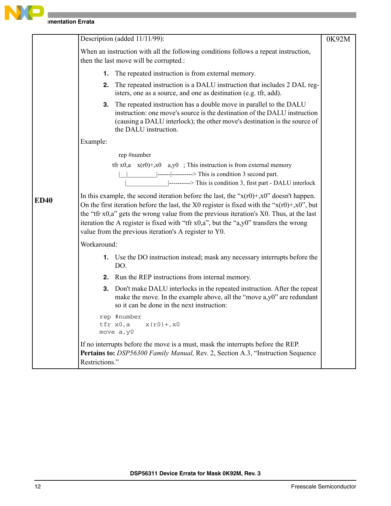

|             | Description (added 11/11/99):                                                                                                                                                                                                                                                                                                                                                                                                                                        | 0K92M |
|-------------|----------------------------------------------------------------------------------------------------------------------------------------------------------------------------------------------------------------------------------------------------------------------------------------------------------------------------------------------------------------------------------------------------------------------------------------------------------------------|-------|
|             | When an instruction with all the following conditions follows a repeat instruction,<br>then the last move will be corrupted.:                                                                                                                                                                                                                                                                                                                                        |       |
|             | The repeated instruction is from external memory.<br>1.                                                                                                                                                                                                                                                                                                                                                                                                              |       |
|             | The repeated instruction is a DALU instruction that includes 2 DAL reg-<br>2.<br>isters, one as a source, and one as destination (e.g. tfr, add).                                                                                                                                                                                                                                                                                                                    |       |
|             | <b>3.</b> The repeated instruction has a double move in parallel to the DALU<br>instruction: one move's source is the destination of the DALU instruction<br>(causing a DALU interlock); the other move's destination is the source of<br>the DALU instruction.                                                                                                                                                                                                      |       |
|             | Example:                                                                                                                                                                                                                                                                                                                                                                                                                                                             |       |
|             | rep #number                                                                                                                                                                                                                                                                                                                                                                                                                                                          |       |
|             | tfr x0,a $x(r0)+,x0$ a,y0; This instruction is from external memory<br>$\left  \frac{1}{2} \right $ -----------> This is condition 3 second part.<br> ---------> This is condition 3, first part - DALU interlock                                                                                                                                                                                                                                                    |       |
| <b>ED40</b> | In this example, the second iteration before the last, the " $x(r0) + x0$ " doesn't happen.<br>On the first iteration before the last, the X0 register is fixed with the " $x(r0) + x0$ ", but<br>the "tfr $x0$ , $a$ " gets the wrong value from the previous iteration's $X0$ . Thus, at the last<br>iteration the A register is fixed with "tfr $x0$ , $a$ ", but the " $a$ , $y0$ " transfers the wrong<br>value from the previous iteration's A register to Y0. |       |
|             | Workaround:                                                                                                                                                                                                                                                                                                                                                                                                                                                          |       |
|             | 1. Use the DO instruction instead; mask any necessary interrupts before the<br>DO.                                                                                                                                                                                                                                                                                                                                                                                   |       |
|             | Run the REP instructions from internal memory.<br>2.                                                                                                                                                                                                                                                                                                                                                                                                                 |       |
|             | Don't make DALU interlocks in the repeated instruction. After the repeat<br>3.<br>make the move. In the example above, all the "move a,y0" are redundant<br>so it can be done in the next instruction:                                                                                                                                                                                                                                                               |       |
|             | rep #number<br>tfr x0,a<br>$x(r0) + x0$<br>move a, y0                                                                                                                                                                                                                                                                                                                                                                                                                |       |
|             | If no interrupts before the move is a must, mask the interrupts before the REP.<br>Pertains to: DSP56300 Family Manual, Rev. 2, Section A.3, "Instruction Sequence<br>Restrictions."                                                                                                                                                                                                                                                                                 |       |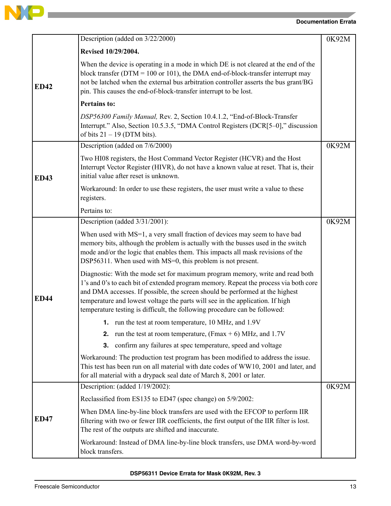

**Contract Contract Contract Contract** 

## **Documentation Errata**

|             | Description (added on 3/22/2000)                                                                                                                                                                                                                                                                                                                                                                                     | 0K92M |
|-------------|----------------------------------------------------------------------------------------------------------------------------------------------------------------------------------------------------------------------------------------------------------------------------------------------------------------------------------------------------------------------------------------------------------------------|-------|
|             | Revised 10/29/2004.                                                                                                                                                                                                                                                                                                                                                                                                  |       |
| <b>ED42</b> | When the device is operating in a mode in which DE is not cleared at the end of the<br>block transfer ( $DTM = 100$ or 101), the DMA end-of-block-transfer interrupt may<br>not be latched when the external bus arbitration controller asserts the bus grant/BG<br>pin. This causes the end-of-block-transfer interrupt to be lost.                                                                                 |       |
|             | <b>Pertains to:</b>                                                                                                                                                                                                                                                                                                                                                                                                  |       |
|             | DSP56300 Family Manual, Rev. 2, Section 10.4.1.2, "End-of-Block-Transfer<br>Interrupt." Also, Section 10.5.3.5, "DMA Control Registers (DCR[5-0]," discussion<br>of bits $21 - 19$ (DTM bits).                                                                                                                                                                                                                       |       |
|             | Description (added on 7/6/2000)                                                                                                                                                                                                                                                                                                                                                                                      | 0K92M |
| <b>ED43</b> | Two HI08 registers, the Host Command Vector Register (HCVR) and the Host<br>Interrupt Vector Register (HIVR), do not have a known value at reset. That is, their<br>initial value after reset is unknown.                                                                                                                                                                                                            |       |
|             | Workaround: In order to use these registers, the user must write a value to these<br>registers.                                                                                                                                                                                                                                                                                                                      |       |
|             | Pertains to:                                                                                                                                                                                                                                                                                                                                                                                                         |       |
|             | Description (added 3/31/2001):                                                                                                                                                                                                                                                                                                                                                                                       | 0K92M |
|             | When used with MS=1, a very small fraction of devices may seem to have bad<br>memory bits, although the problem is actually with the busses used in the switch<br>mode and/or the logic that enables them. This impacts all mask revisions of the<br>DSP56311. When used with MS=0, this problem is not present.                                                                                                     |       |
| <b>ED44</b> | Diagnostic: With the mode set for maximum program memory, write and read both<br>1's and 0's to each bit of extended program memory. Repeat the process via both core<br>and DMA accesses. If possible, the screen should be performed at the highest<br>temperature and lowest voltage the parts will see in the application. If high<br>temperature testing is difficult, the following procedure can be followed: |       |
|             | 1. run the test at room temperature, 10 MHz, and 1.9V                                                                                                                                                                                                                                                                                                                                                                |       |
|             | run the test at room temperature, (Fmax $+$ 6) MHz, and 1.7V<br>2.                                                                                                                                                                                                                                                                                                                                                   |       |
|             | confirm any failures at spec temperature, speed and voltage<br>3.                                                                                                                                                                                                                                                                                                                                                    |       |
|             | Workaround: The production test program has been modified to address the issue.<br>This test has been run on all material with date codes of WW10, 2001 and later, and<br>for all material with a drypack seal date of March 8, 2001 or later.                                                                                                                                                                       |       |
|             | Description: (added 1/19/2002):                                                                                                                                                                                                                                                                                                                                                                                      | 0K92M |
|             | Reclassified from ES135 to ED47 (spec change) on 5/9/2002:                                                                                                                                                                                                                                                                                                                                                           |       |
| <b>ED47</b> | When DMA line-by-line block transfers are used with the EFCOP to perform IIR<br>filtering with two or fewer IIR coefficients, the first output of the IIR filter is lost.<br>The rest of the outputs are shifted and inaccurate.                                                                                                                                                                                     |       |
|             | Workaround: Instead of DMA line-by-line block transfers, use DMA word-by-word<br>block transfers.                                                                                                                                                                                                                                                                                                                    |       |

**DSP56311 Device Errata for Mask 0K92M, Rev. 3**